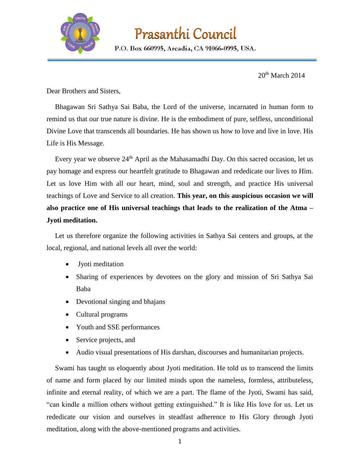

## Prasanthi Council

P.O. Box 660995, Arcadia, CA 91066-0995, USA.

20<sup>th</sup> March 2014

Dear Brothers and Sisters,

Bhagawan Sri Sathya Sai Baba, the Lord of the universe, incarnated in human form to remind us that our true nature is divine. He is the embodiment of pure, selfless, unconditional Divine Love that transcends all boundaries. He has shown us how to love and live in love. His Life is His Message.

Every year we observe  $24<sup>th</sup>$  April as the Mahasamadhi Day. On this sacred occasion, let us pay homage and express our heartfelt gratitude to Bhagawan and rededicate our lives to Him. Let us love Him with all our heart, mind, soul and strength, and practice His universal teachings of Love and Service to all creation. **This year, on this auspicious occasion we will also practice one of His universal teachings that leads to the realization of the Atma – Jyoti meditation.**

Let us therefore organize the following activities in Sathya Sai centers and groups, at the local, regional, and national levels all over the world:

- Jyoti meditation
- Sharing of experiences by devotees on the glory and mission of Sri Sathya Sai Baba
- Devotional singing and bhajans
- Cultural programs
- Youth and SSE performances
- Service projects, and
- Audio visual presentations of His darshan, discourses and humanitarian projects.

Swami has taught us eloquently about Jyoti meditation. He told us to transcend the limits of name and form placed by our limited minds upon the nameless, formless, attributeless, infinite and eternal reality, of which we are a part. The flame of the Jyoti, Swami has said, "can kindle a million others without getting extinguished." It is like His love for us. Let us rededicate our vision and ourselves in steadfast adherence to His Glory through Jyoti meditation, along with the above-mentioned programs and activities.